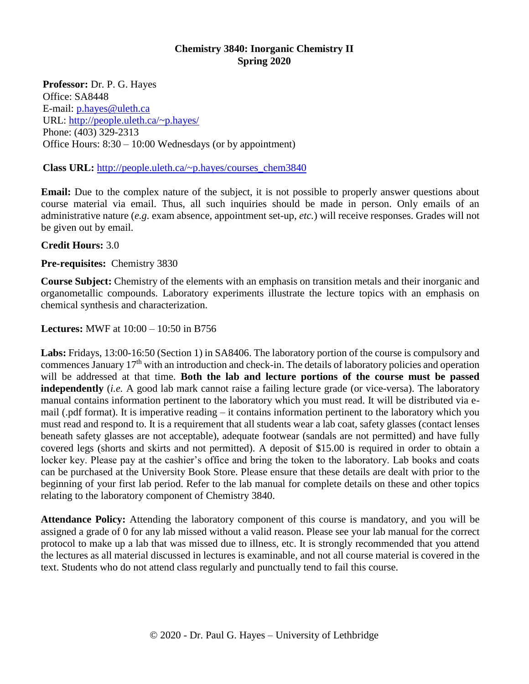## **Chemistry 3840: Inorganic Chemistry II Spring 2020**

**Professor:** Dr. P. G. Hayes Office: SA8448 E-mail: [p.hayes@uleth.ca](mailto:p.hayes@uleth.ca) URL:<http://people.uleth.ca/~p.hayes/> Phone: (403) 329-2313 Office Hours: 8:30 – 10:00 Wednesdays (or by appointment)

## **Class URL:** [http://people.uleth.ca/~p.hayes/c](http://people.uleth.ca/~p.hayes/)ourses\_chem3840

**Email:** Due to the complex nature of the subject, it is not possible to properly answer questions about course material via email. Thus, all such inquiries should be made in person. Only emails of an administrative nature (*e.g.* exam absence, appointment set-up, *etc.*) will receive responses. Grades will not be given out by email.

# **Credit Hours:** 3.0

**Pre-requisites:** Chemistry 3830

**Course Subject:** Chemistry of the elements with an emphasis on transition metals and their inorganic and organometallic compounds. Laboratory experiments illustrate the lecture topics with an emphasis on chemical synthesis and characterization.

# **Lectures:** MWF at 10:00 – 10:50 in B756

**Labs:** Fridays, 13:00-16:50 (Section 1) in SA8406. The laboratory portion of the course is compulsory and commences January 17<sup>th</sup> with an introduction and check-in. The details of laboratory policies and operation will be addressed at that time. **Both the lab and lecture portions of the course must be passed independently** (*i.e.* A good lab mark cannot raise a failing lecture grade (or vice-versa). The laboratory manual contains information pertinent to the laboratory which you must read. It will be distributed via email (.pdf format). It is imperative reading – it contains information pertinent to the laboratory which you must read and respond to. It is a requirement that all students wear a lab coat, safety glasses (contact lenses beneath safety glasses are not acceptable), adequate footwear (sandals are not permitted) and have fully covered legs (shorts and skirts and not permitted). A deposit of \$15.00 is required in order to obtain a locker key. Please pay at the cashier's office and bring the token to the laboratory. Lab books and coats can be purchased at the University Book Store. Please ensure that these details are dealt with prior to the beginning of your first lab period. Refer to the lab manual for complete details on these and other topics relating to the laboratory component of Chemistry 3840.

**Attendance Policy:** Attending the laboratory component of this course is mandatory, and you will be assigned a grade of 0 for any lab missed without a valid reason. Please see your lab manual for the correct protocol to make up a lab that was missed due to illness, etc. It is strongly recommended that you attend the lectures as all material discussed in lectures is examinable, and not all course material is covered in the text. Students who do not attend class regularly and punctually tend to fail this course.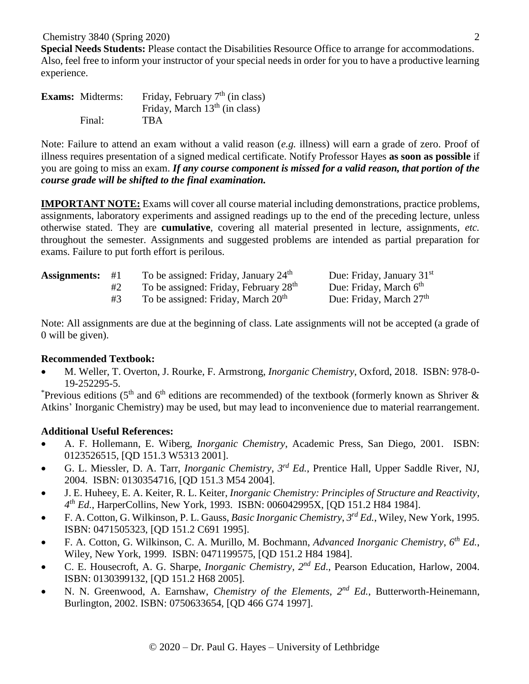Chemistry 3840 (Spring 2020)

**Special Needs Students:** Please contact the Disabilities Resource Office to arrange for accommodations. Also, feel free to inform your instructor of your special needs in order for you to have a productive learning experience.

| <b>Exams:</b> Midterms: | Friday, February $7th$ (in class) |
|-------------------------|-----------------------------------|
|                         | Friday, March $13th$ (in class)   |
| Final:                  | <b>TBA</b>                        |

Note: Failure to attend an exam without a valid reason (*e.g.* illness) will earn a grade of zero. Proof of illness requires presentation of a signed medical certificate. Notify Professor Hayes **as soon as possible** if you are going to miss an exam. *If any course component is missed for a valid reason, that portion of the course grade will be shifted to the final examination.*

**IMPORTANT NOTE:** Exams will cover all course material including demonstrations, practice problems, assignments, laboratory experiments and assigned readings up to the end of the preceding lecture, unless otherwise stated. They are **cumulative**, covering all material presented in lecture, assignments, *etc.* throughout the semester. Assignments and suggested problems are intended as partial preparation for exams. Failure to put forth effort is perilous.

| <b>Assignments:</b> | #1 | To be assigned: Friday, January $24th$            | Due: Friday, January $31st$         |
|---------------------|----|---------------------------------------------------|-------------------------------------|
|                     |    | To be assigned: Friday, February 28 <sup>th</sup> | Due: Friday, March 6 <sup>th</sup>  |
|                     |    | To be assigned: Friday, March 20 <sup>th</sup>    | Due: Friday, March 27 <sup>th</sup> |

Note: All assignments are due at the beginning of class. Late assignments will not be accepted (a grade of 0 will be given).

# **Recommended Textbook:**

 M. Weller, T. Overton, J. Rourke, F. Armstrong, *Inorganic Chemistry*, Oxford, 2018. ISBN: 978-0- 19-252295-5.

\*Previous editions ( $5<sup>th</sup>$  and  $6<sup>th</sup>$  editions are recommended) of the textbook (formerly known as Shriver & Atkins' Inorganic Chemistry) may be used, but may lead to inconvenience due to material rearrangement.

# **Additional Useful References:**

- A. F. Hollemann, E. Wiberg, *Inorganic Chemistry*, Academic Press, San Diego, 2001. ISBN: 0123526515, [QD 151.3 W5313 2001].
- G. L. Miessler, D. A. Tarr, *Inorganic Chemistry*, *3 rd Ed.*, Prentice Hall, Upper Saddle River, NJ, 2004. ISBN: 0130354716, [QD 151.3 M54 2004].
- J. E. Huheey, E. A. Keiter, R. L. Keiter, *Inorganic Chemistry: Principles of Structure and Reactivity*, *4 th Ed.*, HarperCollins, New York, 1993. ISBN: 006042995X, [QD 151.2 H84 1984].
- F. A. Cotton, G. Wilkinson, P. L. Gauss, *Basic Inorganic Chemistry*, *3 rd Ed.*, Wiley, New York, 1995. ISBN: 0471505323, [QD 151.2 C691 1995].
- F. A. Cotton, G. Wilkinson, C. A. Murillo, M. Bochmann, *Advanced Inorganic Chemistry*, *6 th Ed.*, Wiley, New York, 1999. ISBN: 0471199575, [QD 151.2 H84 1984].
- C. E. Housecroft, A. G. Sharpe, *Inorganic Chemistry*,  $2^{nd} Ed$ ., Pearson Education, Harlow, 2004. ISBN: 0130399132, [QD 151.2 H68 2005].
- N. N. Greenwood, A. Earnshaw, *Chemistry of the Elements, 2nd Ed.*, Butterworth-Heinemann, Burlington, 2002. ISBN: 0750633654, [QD 466 G74 1997].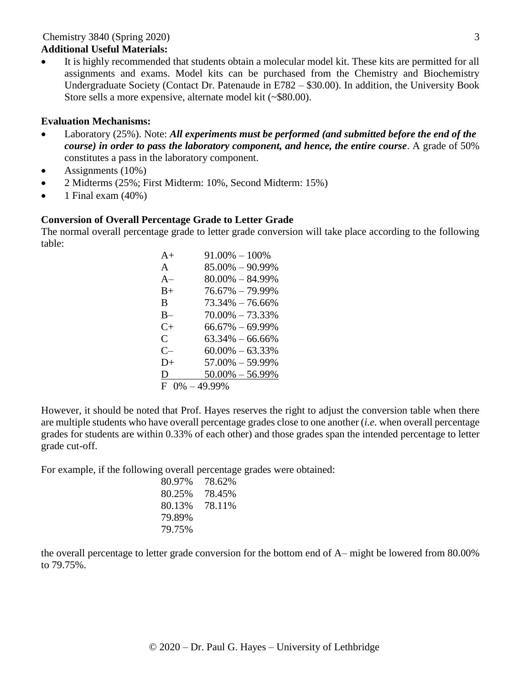#### Chemistry 3840 (Spring 2020) **Additional Useful Materials:**

 It is highly recommended that students obtain a molecular model kit. These kits are permitted for all assignments and exams. Model kits can be purchased from the Chemistry and Biochemistry Undergraduate Society (Contact Dr. Patenaude in E782 – \$30.00). In addition, the University Book Store sells a more expensive, alternate model kit (~\$80.00).

#### **Evaluation Mechanisms:**

- Laboratory (25%). Note: *All experiments must be performed (and submitted before the end of the course) in order to pass the laboratory component, and hence, the entire course*. A grade of 50% constitutes a pass in the laboratory component.
- $\bullet$  Assignments (10%)
- 2 Midterms (25%; First Midterm: 10%, Second Midterm: 15%)
- $\bullet$  1 Final exam (40%)

## **Conversion of Overall Percentage Grade to Letter Grade**

The normal overall percentage grade to letter grade conversion will take place according to the following table:

| $A+$              | $91.00\% - 100\%$   |
|-------------------|---------------------|
| A                 | $85.00\% - 90.99\%$ |
| $A-$              | $80.00\% - 84.99\%$ |
| $B+$              | $76.67\% - 79.99\%$ |
| B                 | $73.34\% - 76.66\%$ |
| $B-$              | $70.00\% - 73.33\%$ |
| $C_{\pm}$         | $66.67\% - 69.99\%$ |
| $\mathcal{C}$     | $63.34\% - 66.66\%$ |
| $C-$              | $60.00\% - 63.33\%$ |
| $D+$              | $57.00\% - 59.99\%$ |
| D                 | $50.00\% - 56.99\%$ |
| $F 0\% - 49.99\%$ |                     |

However, it should be noted that Prof. Hayes reserves the right to adjust the conversion table when there are multiple students who have overall percentage grades close to one another (*i.e.* when overall percentage grades for students are within 0.33% of each other) and those grades span the intended percentage to letter grade cut-off.

For example, if the following overall percentage grades were obtained:

| 80.97% | 78.62% |
|--------|--------|
| 80.25% | 78.45% |
| 80.13% | 78.11% |
| 79.89% |        |
| 79.75% |        |

the overall percentage to letter grade conversion for the bottom end of A– might be lowered from 80.00% to 79.75%.

© 2020 – Dr. Paul G. Hayes – University of Lethbridge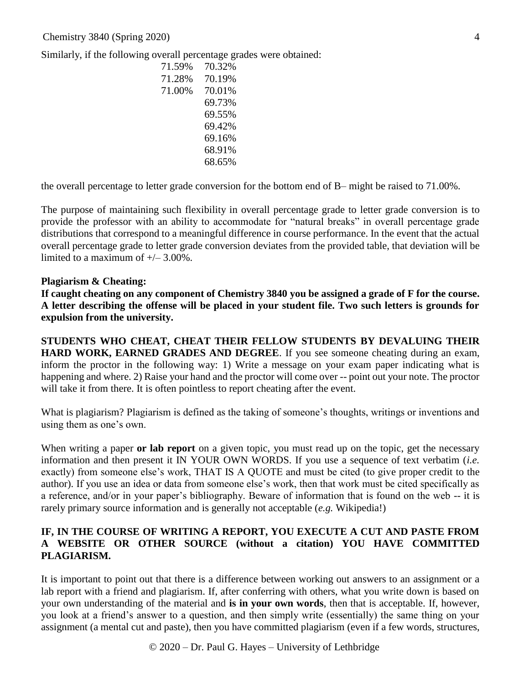Similarly, if the following overall percentage grades were obtained:

| 71.59% | 70.32% |
|--------|--------|
| 71.28% | 70.19% |
| 71.00% | 70.01% |
|        | 69.73% |
|        | 69.55% |
|        | 69.42% |
|        | 69.16% |
|        | 68.91% |
|        | 68.65% |

the overall percentage to letter grade conversion for the bottom end of B– might be raised to 71.00%.

The purpose of maintaining such flexibility in overall percentage grade to letter grade conversion is to provide the professor with an ability to accommodate for "natural breaks" in overall percentage grade distributions that correspond to a meaningful difference in course performance. In the event that the actual overall percentage grade to letter grade conversion deviates from the provided table, that deviation will be limited to a maximum of  $+/- 3.00\%$ .

#### **Plagiarism & Cheating:**

**If caught cheating on any component of Chemistry 3840 you be assigned a grade of F for the course. A letter describing the offense will be placed in your student file. Two such letters is grounds for expulsion from the university.** 

**STUDENTS WHO CHEAT, CHEAT THEIR FELLOW STUDENTS BY DEVALUING THEIR HARD WORK, EARNED GRADES AND DEGREE**. If you see someone cheating during an exam, inform the proctor in the following way: 1) Write a message on your exam paper indicating what is happening and where. 2) Raise your hand and the proctor will come over -- point out your note. The proctor will take it from there. It is often pointless to report cheating after the event.

What is plagiarism? Plagiarism is defined as the taking of someone's thoughts, writings or inventions and using them as one's own.

When writing a paper **or lab report** on a given topic, you must read up on the topic, get the necessary information and then present it IN YOUR OWN WORDS. If you use a sequence of text verbatim (*i.e.* exactly) from someone else's work, THAT IS A QUOTE and must be cited (to give proper credit to the author). If you use an idea or data from someone else's work, then that work must be cited specifically as a reference, and/or in your paper's bibliography. Beware of information that is found on the web -- it is rarely primary source information and is generally not acceptable (*e.g.* Wikipedia!)

# **IF, IN THE COURSE OF WRITING A REPORT, YOU EXECUTE A CUT AND PASTE FROM A WEBSITE OR OTHER SOURCE (without a citation) YOU HAVE COMMITTED PLAGIARISM.**

It is important to point out that there is a difference between working out answers to an assignment or a lab report with a friend and plagiarism. If, after conferring with others, what you write down is based on your own understanding of the material and **is in your own words**, then that is acceptable. If, however, you look at a friend's answer to a question, and then simply write (essentially) the same thing on your assignment (a mental cut and paste), then you have committed plagiarism (even if a few words, structures,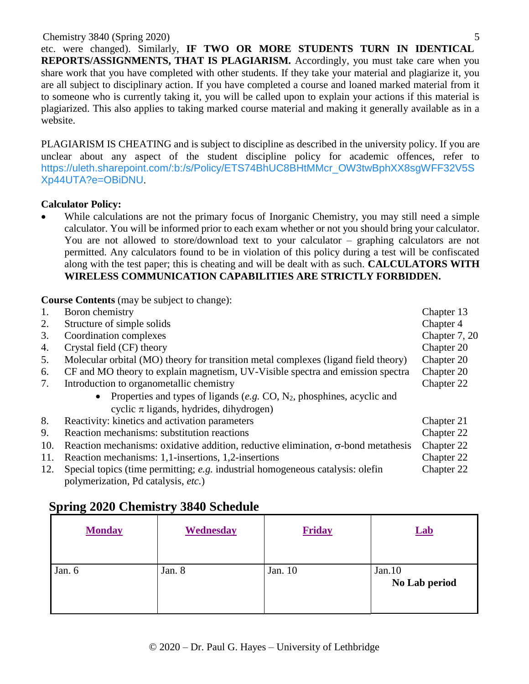## Chemistry 3840 (Spring 2020)

etc. were changed). Similarly, **IF TWO OR MORE STUDENTS TURN IN IDENTICAL REPORTS/ASSIGNMENTS, THAT IS PLAGIARISM.** Accordingly, you must take care when you share work that you have completed with other students. If they take your material and plagiarize it, you are all subject to disciplinary action. If you have completed a course and loaned marked material from it to someone who is currently taking it, you will be called upon to explain your actions if this material is plagiarized. This also applies to taking marked course material and making it generally available as in a website.

PLAGIARISM IS CHEATING and is subject to discipline as described in the university policy. If you are unclear about any aspect of the student discipline policy for academic offences, refer to [https://uleth.sharepoint.com/:b:/s/Policy/ETS74BhUC8BHtMMcr\\_OW3twBphXX8sgWFF32V5S](https://uleth.sharepoint.com/:b:/s/Policy/ETS74BhUC8BHtMMcr_OW3twBphXX8sgWFF32V5SXp44UTA?e=OBiDNU) [Xp44UTA?e=OBiDNU](https://uleth.sharepoint.com/:b:/s/Policy/ETS74BhUC8BHtMMcr_OW3twBphXX8sgWFF32V5SXp44UTA?e=OBiDNU).

# **Calculator Policy:**

 While calculations are not the primary focus of Inorganic Chemistry, you may still need a simple calculator. You will be informed prior to each exam whether or not you should bring your calculator. You are not allowed to store/download text to your calculator – graphing calculators are not permitted. Any calculators found to be in violation of this policy during a test will be confiscated along with the test paper; this is cheating and will be dealt with as such. **CALCULATORS WITH WIRELESS COMMUNICATION CAPABILITIES ARE STRICTLY FORBIDDEN.**

**Course Contents** (may be subject to change):

| 1.  | Boron chemistry                                                                           | Chapter 13    |
|-----|-------------------------------------------------------------------------------------------|---------------|
| 2.  | Structure of simple solids                                                                | Chapter 4     |
| 3.  | Coordination complexes                                                                    | Chapter 7, 20 |
| 4.  | Crystal field (CF) theory                                                                 | Chapter 20    |
| 5.  | Molecular orbital (MO) theory for transition metal complexes (ligand field theory)        | Chapter 20    |
| 6.  | CF and MO theory to explain magnetism, UV-Visible spectra and emission spectra            | Chapter 20    |
| 7.  | Introduction to organometallic chemistry                                                  | Chapter 22    |
|     | • Properties and types of ligands (e.g. CO, $N_2$ , phosphines, acyclic and               |               |
|     | cyclic $\pi$ ligands, hydrides, dihydrogen)                                               |               |
| 8.  | Reactivity: kinetics and activation parameters                                            | Chapter 21    |
| 9.  | Reaction mechanisms: substitution reactions                                               | Chapter 22    |
| 10. | Reaction mechanisms: oxidative addition, reductive elimination, $\sigma$ -bond metathesis | Chapter 22    |
| 11. | Reaction mechanisms: 1,1-insertions, 1,2-insertions                                       | Chapter 22    |
| 12. | Special topics (time permitting; e.g. industrial homogeneous catalysis: olefin            | Chapter 22    |
|     | polymerization, Pd catalysis, etc.)                                                       |               |

# **Spring 2020 Chemistry 3840 Schedule**

| <b>Monday</b> | Wednesday | Friday  | <b>Lab</b>              |
|---------------|-----------|---------|-------------------------|
| Jan. 6        | Jan. 8    | Jan. 10 | Jan.10<br>No Lab period |